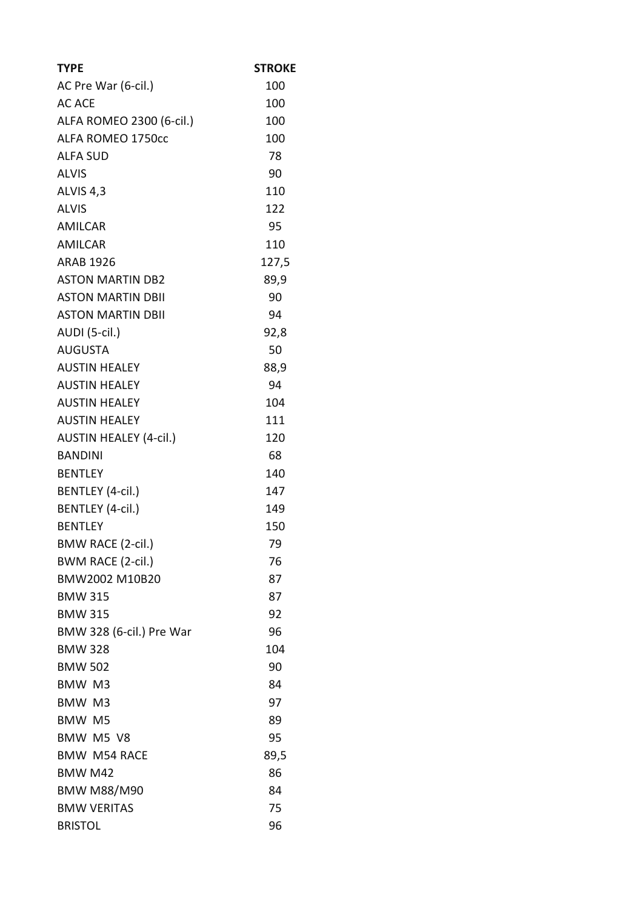| <b>TYPE</b>                   | <b>STROKE</b> |
|-------------------------------|---------------|
| AC Pre War (6-cil.)           | 100           |
| <b>AC ACE</b>                 | 100           |
| ALFA ROMEO 2300 (6-cil.)      | 100           |
| ALFA ROMEO 1750cc             | 100           |
| <b>ALFA SUD</b>               | 78            |
| <b>ALVIS</b>                  | 90            |
| ALVIS <sub>4,3</sub>          | 110           |
| <b>ALVIS</b>                  | 122           |
| <b>AMILCAR</b>                | 95            |
| <b>AMILCAR</b>                | 110           |
| <b>ARAB 1926</b>              | 127,5         |
| <b>ASTON MARTIN DB2</b>       | 89,9          |
| <b>ASTON MARTIN DBII</b>      | 90            |
| <b>ASTON MARTIN DBII</b>      | 94            |
| AUDI (5-cil.)                 | 92,8          |
| <b>AUGUSTA</b>                | 50            |
| <b>AUSTIN HEALEY</b>          | 88,9          |
| <b>AUSTIN HEALEY</b>          | 94            |
| <b>AUSTIN HEALEY</b>          | 104           |
| <b>AUSTIN HEALEY</b>          | 111           |
| <b>AUSTIN HEALEY (4-cil.)</b> | 120           |
| <b>BANDINI</b>                | 68            |
| <b>BENTLEY</b>                | 140           |
| BENTLEY (4-cil.)              | 147           |
| BENTLEY (4-cil.)              | 149           |
| <b>BENTLEY</b>                | 150           |
| <b>BMW RACE (2-cil.)</b>      | 79            |
| BWM RACE (2-cil.)             | 76            |
| BMW2002 M10B20                | 87            |
| <b>BMW 315</b>                | 87            |
| <b>BMW 315</b>                | 92            |
| BMW 328 (6-cil.) Pre War      | 96            |
| <b>BMW 328</b>                | 104           |
| <b>BMW 502</b>                | 90            |
| BMW M3                        | 84            |
| BMW M3                        | 97            |
| <b>BMW M5</b>                 | 89            |
| BMW M5 V8                     | 95            |
| <b>BMW M54 RACE</b>           | 89,5          |
| BMW M42                       | 86            |
| <b>BMW M88/M90</b>            | 84            |
| <b>BMW VERITAS</b>            | 75            |
| <b>BRISTOL</b>                | 96            |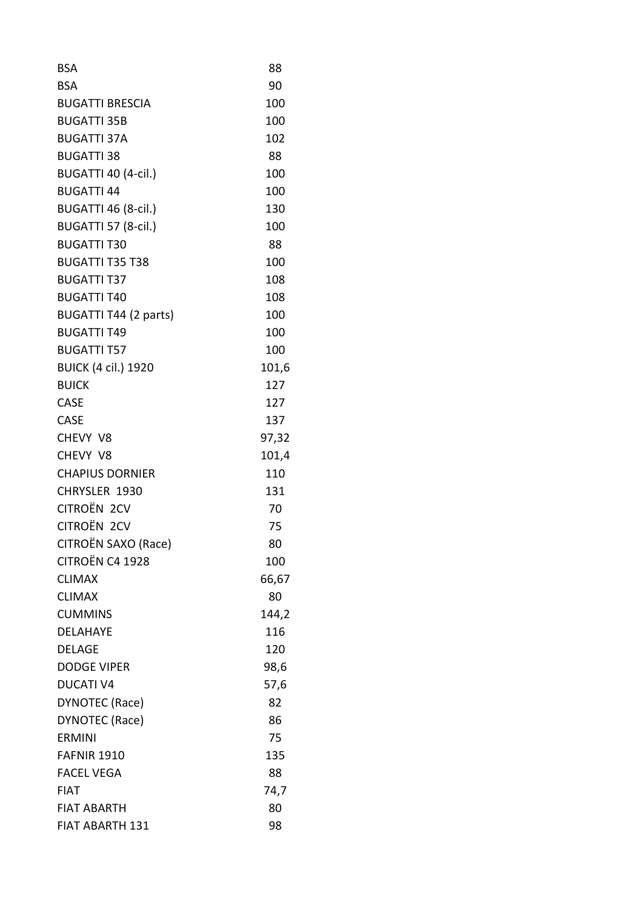| <b>BSA</b>                 | 88    |
|----------------------------|-------|
| <b>BSA</b>                 | 90    |
| <b>BUGATTI BRESCIA</b>     | 100   |
| <b>BUGATTI 35B</b>         | 100   |
| <b>BUGATTI 37A</b>         | 102   |
| <b>BUGATTI 38</b>          | 88    |
| BUGATTI 40 (4-cil.)        | 100   |
| <b>BUGATTI 44</b>          | 100   |
| BUGATTI 46 (8-cil.)        | 130   |
| <b>BUGATTI 57 (8-cil.)</b> | 100   |
| <b>BUGATTI T30</b>         | 88    |
| <b>BUGATTI T35 T38</b>     | 100   |
| <b>BUGATTI T37</b>         | 108   |
| <b>BUGATTI T40</b>         | 108   |
| BUGATTI T44 (2 parts)      | 100   |
| <b>BUGATTI T49</b>         | 100   |
| <b>BUGATTI T57</b>         | 100   |
| <b>BUICK (4 cil.) 1920</b> | 101,6 |
| <b>BUICK</b>               | 127   |
| CASE                       | 127   |
| <b>CASE</b>                | 137   |
| CHEVY V8                   | 97,32 |
| CHEVY V8                   | 101,4 |
| <b>CHAPIUS DORNIER</b>     | 110   |
| CHRYSLER 1930              | 131   |
| CITROËN 2CV                | 70    |
| CITROËN 2CV                | 75    |
| CITROËN SAXO (Race)        | 80    |
| CITROËN C4 1928            | 100   |
| <b>CLIMAX</b>              | 66,67 |
| <b>CLIMAX</b>              | 80    |
| <b>CUMMINS</b>             | 144,2 |
| <b>DELAHAYE</b>            | 116   |
| <b>DELAGE</b>              | 120   |
| <b>DODGE VIPER</b>         | 98,6  |
| <b>DUCATI V4</b>           | 57,6  |
| DYNOTEC (Race)             | 82    |
| DYNOTEC (Race)             | 86    |
| <b>ERMINI</b>              | 75    |
| <b>FAFNIR 1910</b>         | 135   |
| <b>FACEL VEGA</b>          | 88    |
| <b>FIAT</b>                | 74,7  |
| <b>FIAT ABARTH</b>         | 80    |
| <b>FIAT ABARTH 131</b>     | 98    |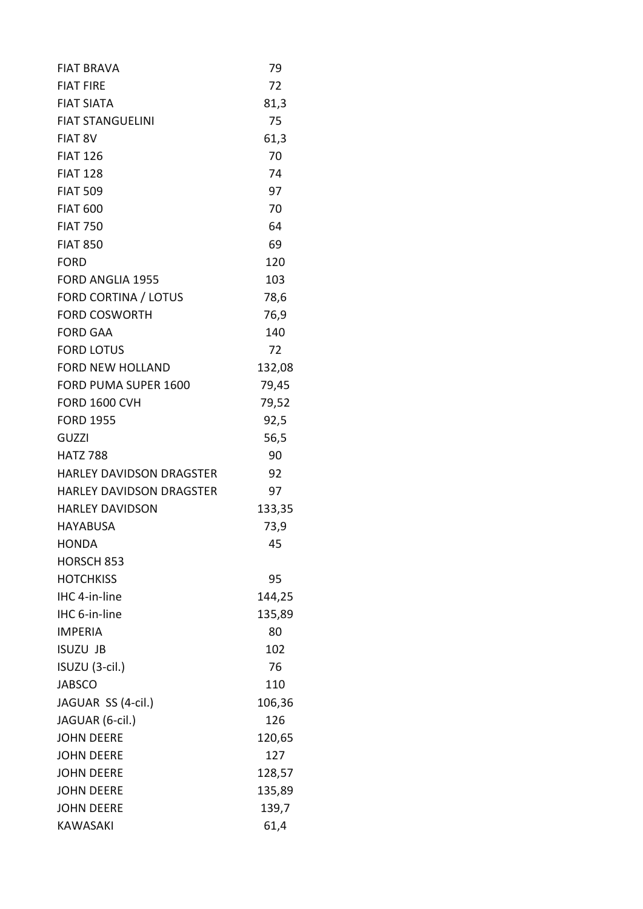| <b>FIAT BRAVA</b>               | 79     |
|---------------------------------|--------|
| <b>FIAT FIRE</b>                | 72     |
| <b>FIAT SIATA</b>               | 81,3   |
| <b>FIAT STANGUELINI</b>         | 75     |
| FIAT 8V                         | 61,3   |
| <b>FIAT 126</b>                 | 70     |
| <b>FIAT 128</b>                 | 74     |
| <b>FIAT 509</b>                 | 97     |
| <b>FIAT 600</b>                 | 70     |
| <b>FIAT 750</b>                 | 64     |
| <b>FIAT 850</b>                 | 69     |
| <b>FORD</b>                     | 120    |
| <b>FORD ANGLIA 1955</b>         | 103    |
| <b>FORD CORTINA / LOTUS</b>     | 78,6   |
| <b>FORD COSWORTH</b>            | 76,9   |
| <b>FORD GAA</b>                 | 140    |
| <b>FORD LOTUS</b>               | 72     |
| <b>FORD NEW HOLLAND</b>         | 132,08 |
| FORD PUMA SUPER 1600            | 79,45  |
| <b>FORD 1600 CVH</b>            | 79,52  |
| <b>FORD 1955</b>                | 92,5   |
| <b>GUZZI</b>                    | 56,5   |
| <b>HATZ 788</b>                 | 90     |
| <b>HARLEY DAVIDSON DRAGSTER</b> | 92     |
| <b>HARLEY DAVIDSON DRAGSTER</b> | 97     |
| <b>HARLEY DAVIDSON</b>          | 133,35 |
| <b>HAYABUSA</b>                 | 73,9   |
| <b>HONDA</b>                    | 45     |
| HORSCH 853                      |        |
| <b>HOTCHKISS</b>                | 95     |
| IHC 4-in-line                   | 144,25 |
| IHC 6-in-line                   | 135,89 |
| <b>IMPERIA</b>                  | 80     |
| <b>ISUZU JB</b>                 | 102    |
| ISUZU (3-cil.)                  | 76     |
| <b>JABSCO</b>                   | 110    |
| JAGUAR SS (4-cil.)              | 106,36 |
| JAGUAR (6-cil.)                 | 126    |
| <b>JOHN DEERE</b>               | 120,65 |
| <b>JOHN DEERE</b>               | 127    |
| <b>JOHN DEERE</b>               | 128,57 |
| <b>JOHN DEERE</b>               | 135,89 |
| <b>JOHN DEERE</b>               | 139,7  |
| <b>KAWASAKI</b>                 | 61,4   |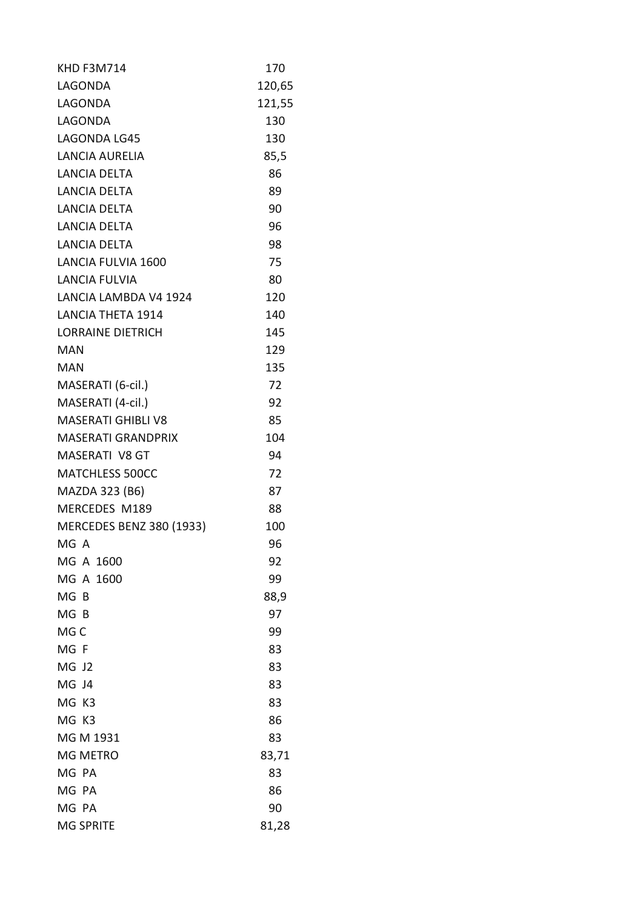| <b>KHD F3M714</b>               | 170    |
|---------------------------------|--------|
| LAGONDA                         | 120,65 |
| LAGONDA                         | 121,55 |
| LAGONDA                         | 130    |
| LAGONDA LG45                    | 130    |
| <b>LANCIA AURELIA</b>           | 85,5   |
| LANCIA DELTA                    | 86     |
| <b>LANCIA DELTA</b>             | 89     |
| LANCIA DELTA                    | 90     |
| LANCIA DELTA                    | 96     |
| LANCIA DELTA                    | 98     |
| LANCIA FULVIA 1600              | 75     |
| <b>LANCIA FULVIA</b>            | 80     |
| LANCIA LAMBDA V4 1924           | 120    |
| <b>LANCIA THETA 1914</b>        | 140    |
| <b>LORRAINE DIETRICH</b>        | 145    |
| <b>MAN</b>                      | 129    |
| <b>MAN</b>                      | 135    |
| MASERATI (6-cil.)               | 72     |
| MASERATI (4-cil.)               | 92     |
| <b>MASERATI GHIBLI V8</b>       | 85     |
| <b>MASERATI GRANDPRIX</b>       | 104    |
| <b>MASERATI V8 GT</b>           | 94     |
| MATCHLESS 500CC                 | 72     |
| MAZDA 323 (B6)                  | 87     |
| MERCEDES M189                   | 88     |
| <b>MERCEDES BENZ 380 (1933)</b> | 100    |
| MG A                            | 96     |
| MG A 1600                       | 92     |
| MG A 1600                       | 99     |
| MG <sub>B</sub>                 | 88,9   |
| MG B                            | 97     |
| MG C                            | 99     |
| MG F                            | 83     |
| MG J2                           | 83     |
| MG J4                           | 83     |
| MG<br>K3                        | 83     |
| MG K3                           | 86     |
| MG M 1931                       | 83     |
| MG METRO                        | 83,71  |
| MG PA                           | 83     |
| MG PA                           | 86     |
| MG PA                           | 90     |
| <b>MG SPRITE</b>                | 81,28  |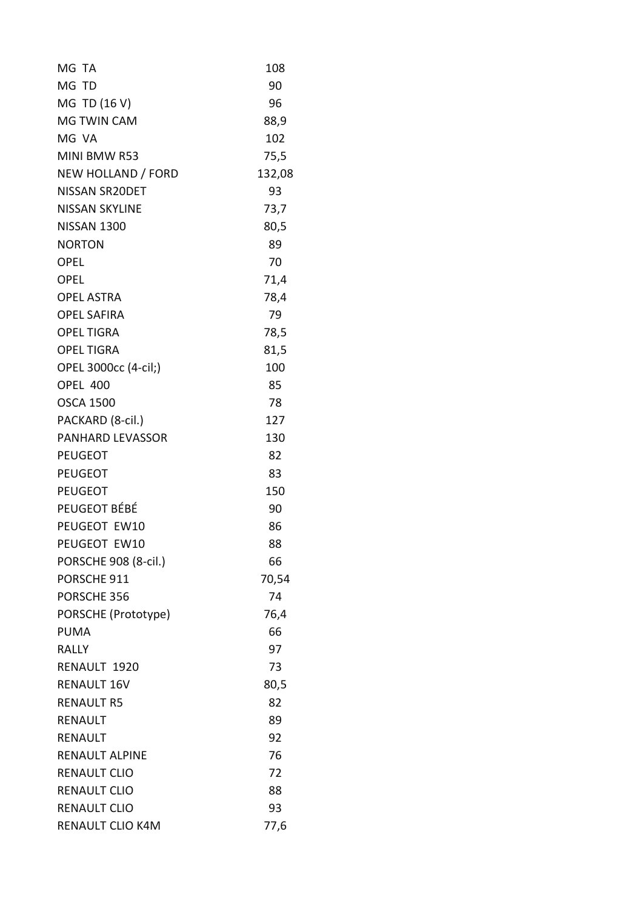| MG TA                 | 108    |
|-----------------------|--------|
| MG TD                 | 90     |
| MG TD (16 V)          | 96     |
| <b>MG TWIN CAM</b>    | 88,9   |
| MG VA                 | 102    |
| MINI BMW R53          | 75,5   |
| NEW HOLLAND / FORD    | 132,08 |
| NISSAN SR20DET        | 93     |
| <b>NISSAN SKYLINE</b> | 73,7   |
| <b>NISSAN 1300</b>    | 80,5   |
| <b>NORTON</b>         | 89     |
| <b>OPEL</b>           | 70     |
| <b>OPEL</b>           | 71,4   |
| <b>OPEL ASTRA</b>     | 78,4   |
| <b>OPEL SAFIRA</b>    | 79     |
| <b>OPEL TIGRA</b>     | 78,5   |
| <b>OPEL TIGRA</b>     | 81,5   |
| OPEL 3000cc (4-cil;)  | 100    |
| <b>OPEL 400</b>       | 85     |
| <b>OSCA 1500</b>      | 78     |
| PACKARD (8-cil.)      | 127    |
| PANHARD LEVASSOR      | 130    |
| <b>PEUGEOT</b>        | 82     |
| <b>PEUGEOT</b>        | 83     |
| <b>PEUGEOT</b>        | 150    |
| PEUGEOT BÉBÉ          | 90     |
| PEUGEOT EW10          | 86     |
| PEUGEOT EW10          | 88     |
| PORSCHE 908 (8-cil.)  | 66     |
| PORSCHE 911           | 70,54  |
| PORSCHE 356           | 74     |
| PORSCHE (Prototype)   | 76,4   |
| <b>PUMA</b>           | 66     |
| <b>RALLY</b>          | 97     |
| RENAULT 1920          | 73     |
| <b>RENAULT 16V</b>    | 80,5   |
| <b>RENAULT R5</b>     | 82     |
| <b>RENAULT</b>        | 89     |
| <b>RENAULT</b>        | 92     |
| <b>RENAULT ALPINE</b> | 76     |
| <b>RENAULT CLIO</b>   | 72     |
| <b>RENAULT CLIO</b>   | 88     |
| <b>RENAULT CLIO</b>   | 93     |
| RENAULT CLIO K4M      | 77,6   |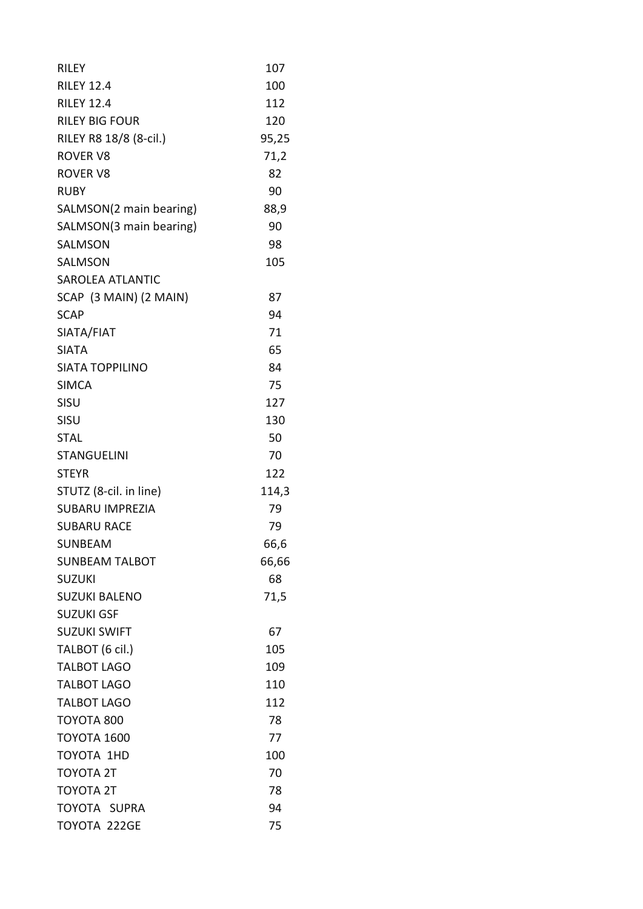| <b>RILEY</b>            | 107   |
|-------------------------|-------|
| <b>RILEY 12.4</b>       | 100   |
| <b>RILEY 12.4</b>       | 112   |
| <b>RILEY BIG FOUR</b>   | 120   |
| RILEY R8 18/8 (8-cil.)  | 95,25 |
| <b>ROVER V8</b>         | 71,2  |
| <b>ROVER V8</b>         | 82    |
| <b>RUBY</b>             | 90    |
| SALMSON(2 main bearing) | 88,9  |
| SALMSON(3 main bearing) | 90    |
| SALMSON                 | 98    |
| <b>SALMSON</b>          | 105   |
| <b>SAROLEA ATLANTIC</b> |       |
| SCAP (3 MAIN) (2 MAIN)  | 87    |
| <b>SCAP</b>             | 94    |
| SIATA/FIAT              | 71    |
| <b>SIATA</b>            | 65    |
| <b>SIATA TOPPILINO</b>  | 84    |
| <b>SIMCA</b>            | 75    |
| SISU                    | 127   |
| SISU                    | 130   |
| <b>STAL</b>             | 50    |
| <b>STANGUELINI</b>      | 70    |
| <b>STEYR</b>            | 122   |
| STUTZ (8-cil. in line)  | 114,3 |
| <b>SUBARU IMPREZIA</b>  | 79    |
| <b>SUBARU RACE</b>      | 79    |
| SUNBEAM                 | 66,6  |
| <b>SUNBEAM TALBOT</b>   | 66,66 |
| <b>SUZUKI</b>           | 68    |
| <b>SUZUKI BALENO</b>    | 71,5  |
| <b>SUZUKI GSF</b>       |       |
| <b>SUZUKI SWIFT</b>     | 67    |
| TALBOT (6 cil.)         | 105   |
| <b>TALBOT LAGO</b>      | 109   |
| <b>TALBOT LAGO</b>      | 110   |
| <b>TALBOT LAGO</b>      | 112   |
| TOYOTA 800              | 78    |
| <b>TOYOTA 1600</b>      | 77    |
| TOYOTA 1HD              | 100   |
| <b>TOYOTA 2T</b>        | 70    |
| <b>TOYOTA 2T</b>        | 78    |
| TOYOTA SUPRA            | 94    |
| TOYOTA 222GE            | 75    |